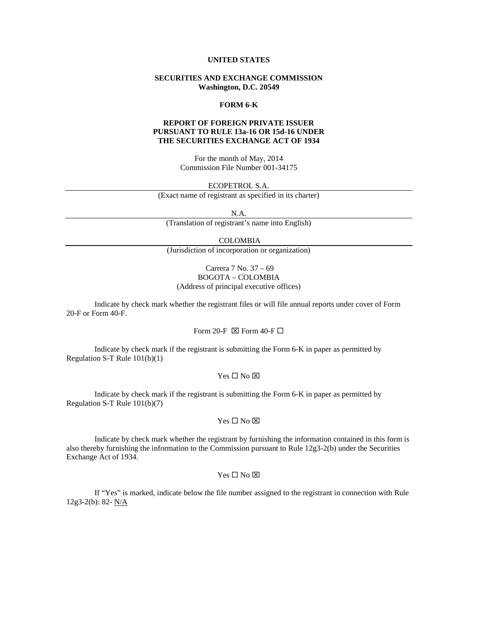# **UNITED STATES**

# **SECURITIES AND EXCHANGE COMMISSION Washington, D.C. 20549**

## **FORM 6-K**

# **REPORT OF FOREIGN PRIVATE ISSUER PURSUANT TO RULE 13a-16 OR 15d-16 UNDER THE SECURITIES EXCHANGE ACT OF 1934**

For the month of May, 2014 Commission File Number 001-34175

#### ECOPETROL S.A.

(Exact name of registrant as specified in its charter)

N.A.

(Translation of registrant's name into English)

## COLOMBIA

(Jurisdiction of incorporation or organization)

# Carrera 7 No. 37 – 69 BOGOTA – COLOMBIA (Address of principal executive offices)

Indicate by check mark whether the registrant files or will file annual reports under cover of Form 20-F or Form 40-F.

# Form 20-F  $\boxtimes$  Form 40-F  $\square$

Indicate by check mark if the registrant is submitting the Form 6-K in paper as permitted by Regulation S-T Rule 101(b)(1)

## $Yes \Box No \boxtimes$

Indicate by check mark if the registrant is submitting the Form 6-K in paper as permitted by Regulation S-T Rule 101(b)(7)

# $Yes \Box No \boxtimes$

Indicate by check mark whether the registrant by furnishing the information contained in this form is also thereby furnishing the information to the Commission pursuant to Rule 12g3-2(b) under the Securities Exchange Act of 1934.

### $Yes \Box No \boxtimes$

If "Yes" is marked, indicate below the file number assigned to the registrant in connection with Rule 12g3-2(b): 82- N/A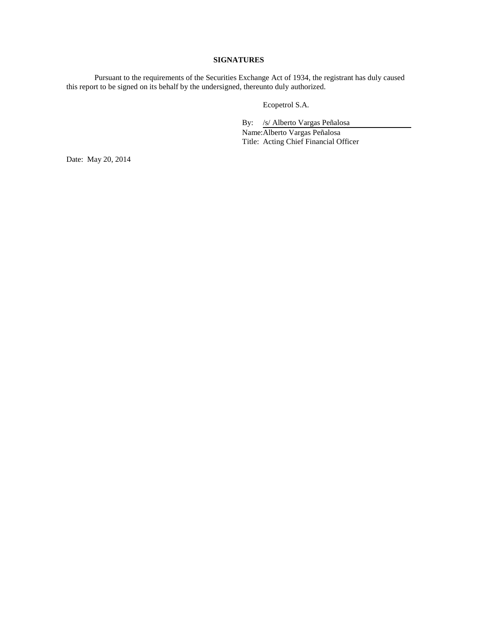# **SIGNATURES**

Pursuant to the requirements of the Securities Exchange Act of 1934, the registrant has duly caused this report to be signed on its behalf by the undersigned, thereunto duly authorized.

Ecopetrol S.A.

By: /s/ Alberto Vargas Peñalosa Name:Alberto Vargas Peñalosa Title: Acting Chief Financial Officer

Date: May 20, 2014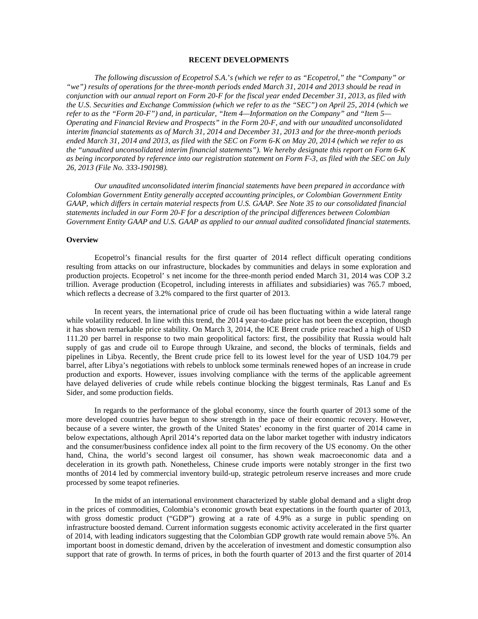## **RECENT DEVELOPMENTS**

*The following discussion of Ecopetrol S.A*.'*s (which we refer to as "Ecopetrol," the "Company" or "we") results of operations for the three-month periods ended March 31, 2014 and 2013 should be read in conjunction with our annual report on Form 20-F for the fiscal year ended December 31, 2013, as filed with the U.S. Securities and Exchange Commission (which we refer to as the "SEC") on April 25, 2014 (which we refer to as the "Form 20-F") and, in particular, "Item 4—Information on the Company" and "Item 5— Operating and Financial Review and Prospects" in the Form 20-F, and with our unaudited unconsolidated interim financial statements as of March 31, 2014 and December 31, 2013 and for the three-month periods ended March 31, 2014 and 2013, as filed with the SEC on Form 6-K on May 20, 2014 (which we refer to as the "unaudited unconsolidated interim financial statements"). We hereby designate this report on Form 6-K as being incorporated by reference into our registration statement on Form F-3, as filed with the SEC on July 26, 2013 (File No. 333-190198).*

*Our unaudited unconsolidated interim financial statements have been prepared in accordance with Colombian Government Entity generally accepted accounting principles, or Colombian Government Entity GAAP, which differs in certain material respects from U.S. GAAP. See Note 35 to our consolidated financial statements included in our Form 20-F for a description of the principal differences between Colombian Government Entity GAAP and U.S. GAAP as applied to our annual audited consolidated financial statements.* 

## **Overview**

Ecopetrol's financial results for the first quarter of 2014 reflect difficult operating conditions resulting from attacks on our infrastructure, blockades by communities and delays in some exploration and production projects. Ecopetrol' s net income for the three-month period ended March 31, 2014 was COP 3.2 trillion. Average production (Ecopetrol, including interests in affiliates and subsidiaries) was 765.7 mboed, which reflects a decrease of 3.2% compared to the first quarter of 2013.

In recent years, the international price of crude oil has been fluctuating within a wide lateral range while volatility reduced. In line with this trend, the 2014 year-to-date price has not been the exception, though it has shown remarkable price stability. On March 3, 2014, the ICE Brent crude price reached a high of USD 111.20 per barrel in response to two main geopolitical factors: first, the possibility that Russia would halt supply of gas and crude oil to Europe through Ukraine, and second, the blocks of terminals, fields and pipelines in Libya. Recently, the Brent crude price fell to its lowest level for the year of USD 104.79 per barrel, after Libya's negotiations with rebels to unblock some terminals renewed hopes of an increase in crude production and exports. However, issues involving compliance with the terms of the applicable agreement have delayed deliveries of crude while rebels continue blocking the biggest terminals, Ras Lanuf and Es Sider, and some production fields.

In regards to the performance of the global economy, since the fourth quarter of 2013 some of the more developed countries have begun to show strength in the pace of their economic recovery. However, because of a severe winter, the growth of the United States' economy in the first quarter of 2014 came in below expectations, although April 2014's reported data on the labor market together with industry indicators and the consumer/business confidence index all point to the firm recovery of the US economy. On the other hand, China, the world's second largest oil consumer, has shown weak macroeconomic data and a deceleration in its growth path. Nonetheless, Chinese crude imports were notably stronger in the first two months of 2014 led by commercial inventory build-up, strategic petroleum reserve increases and more crude processed by some teapot refineries.

In the midst of an international environment characterized by stable global demand and a slight drop in the prices of commodities, Colombia's economic growth beat expectations in the fourth quarter of 2013, with gross domestic product ("GDP") growing at a rate of 4.9% as a surge in public spending on infrastructure boosted demand. Current information suggests economic activity accelerated in the first quarter of 2014, with leading indicators suggesting that the Colombian GDP growth rate would remain above 5%. An important boost in domestic demand, driven by the acceleration of investment and domestic consumption also support that rate of growth. In terms of prices, in both the fourth quarter of 2013 and the first quarter of 2014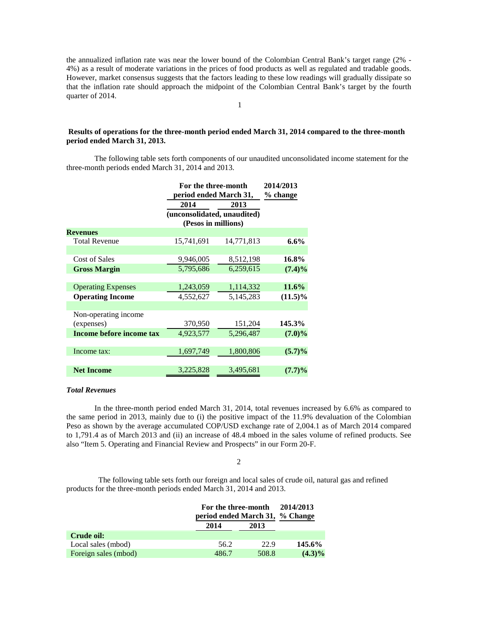the annualized inflation rate was near the lower bound of the Colombian Central Bank's target range (2% - 4%) as a result of moderate variations in the prices of food products as well as regulated and tradable goods. However, market consensus suggests that the factors leading to these low readings will gradually dissipate so that the inflation rate should approach the midpoint of the Colombian Central Bank's target by the fourth quarter of 2014.

1

# **Results of operations for the three-month period ended March 31, 2014 compared to the three-month period ended March 31, 2013.**

The following table sets forth components of our unaudited unconsolidated income statement for the three-month periods ended March 31, 2014 and 2013.

|                           | For the three-month<br>period ended March 31, |            | 2014/2013<br>% change |
|---------------------------|-----------------------------------------------|------------|-----------------------|
|                           | 2014                                          | 2013       |                       |
|                           | (unconsolidated, unaudited)                   |            |                       |
|                           | (Pesos in millions)                           |            |                       |
| <b>Revenues</b>           |                                               |            |                       |
| <b>Total Revenue</b>      | 15,741,691                                    | 14,771,813 | $6.6\%$               |
|                           |                                               |            |                       |
| Cost of Sales             | 9,946,005                                     | 8,512,198  | 16.8%                 |
| <b>Gross Margin</b>       | 5,795,686                                     | 6,259,615  | $(7.4)\%$             |
|                           |                                               |            |                       |
| <b>Operating Expenses</b> | 1,243,059                                     | 1,114,332  | $11.6\%$              |
| <b>Operating Income</b>   | 4,552,627                                     | 5,145,283  | $(11.5)\%$            |
|                           |                                               |            |                       |
| Non-operating income      |                                               |            |                       |
| (expenses)                | 370,950                                       | 151,204    | 145.3%                |
| Income before income tax  | 4,923,577                                     | 5,296,487  | $(7.0)\%$             |
|                           |                                               |            |                       |
| Income tax:               | 1,697,749                                     | 1,800,806  | $(5.7)\%$             |
|                           |                                               |            |                       |
| <b>Net Income</b>         | 3,225,828                                     | 3,495,681  | $(7.7)\%$             |

## *Total Revenues*

In the three-month period ended March 31, 2014, total revenues increased by 6.6% as compared to the same period in 2013, mainly due to (i) the positive impact of the 11.9% devaluation of the Colombian Peso as shown by the average accumulated COP/USD exchange rate of 2,004.1 as of March 2014 compared to 1,791.4 as of March 2013 and (ii) an increase of 48.4 mboed in the sales volume of refined products. See also "Item 5. Operating and Financial Review and Prospects" in our Form 20-F.

# 2

The following table sets forth our foreign and local sales of crude oil, natural gas and refined products for the three-month periods ended March 31, 2014 and 2013.

|                      | For the three-month<br>period ended March 31, % Change |       | 2014/2013 |
|----------------------|--------------------------------------------------------|-------|-----------|
|                      | 2014                                                   | 2013  |           |
| Crude oil:           |                                                        |       |           |
| Local sales (mbod)   | 56.2                                                   | 22.9  | 145.6%    |
| Foreign sales (mbod) | 486.7                                                  | 508.8 | $(4.3)\%$ |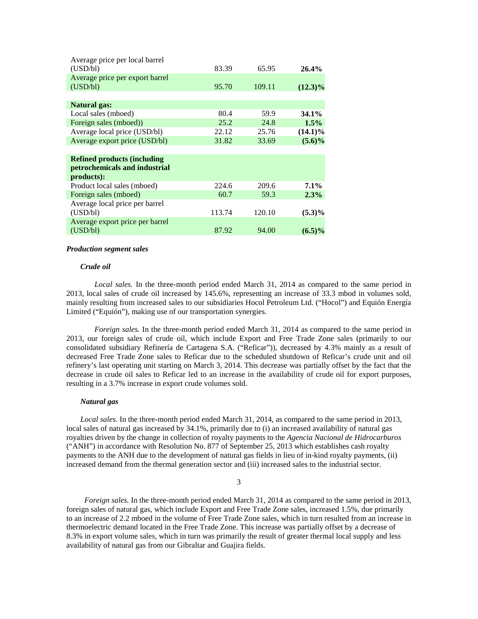| Average price per local barrel<br>(USD/bl) | 83.39  | 65.95  | $26.4\%$   |
|--------------------------------------------|--------|--------|------------|
| Average price per export barrel            |        |        |            |
| (USD/bl)                                   | 95.70  | 109.11 | $(12.3)\%$ |
| <b>Natural gas:</b>                        |        |        |            |
| Local sales (mboed)                        | 80.4   | 59.9   | $34.1\%$   |
| Foreign sales (mboed))                     | 25.2   | 24.8   | $1.5\%$    |
| Average local price (USD/bl)               | 22.12  | 25.76  | $(14.1)\%$ |
| Average export price (USD/bl)              | 31.82  | 33.69  | $(5.6)\%$  |
|                                            |        |        |            |
| <b>Refined products (including</b>         |        |        |            |
| petrochemicals and industrial              |        |        |            |
| products):                                 |        |        |            |
| Product local sales (mboed)                | 224.6  | 209.6  | $7.1\%$    |
| Foreign sales (mboed)                      | 60.7   | 59.3   | 2.3%       |
| Average local price per barrel             |        |        |            |
| (USD/bl)                                   | 113.74 | 120.10 | $(5.3)\%$  |
| Average export price per barrel            |        |        |            |
| (USD/bl)                                   | 87.92  | 94.00  | $(6.5)\%$  |
|                                            |        |        |            |

#### *Production segment sales*

## *Crude oil*

*Local sales.* In the three-month period ended March 31, 2014 as compared to the same period in 2013, local sales of crude oil increased by 145.6%, representing an increase of 33.3 mbod in volumes sold, mainly resulting from increased sales to our subsidiaries Hocol Petroleum Ltd. ("Hocol") and Equión Energía Limited ("Equión"), making use of our transportation synergies.

*Foreign sales.* In the three-month period ended March 31, 2014 as compared to the same period in 2013, our foreign sales of crude oil, which include Export and Free Trade Zone sales (primarily to our consolidated subsidiary Refinería de Cartagena S.A. ("Reficar")), decreased by 4.3% mainly as a result of decreased Free Trade Zone sales to Reficar due to the scheduled shutdown of Reficar's crude unit and oil refinery's last operating unit starting on March 3, 2014. This decrease was partially offset by the fact that the decrease in crude oil sales to Reficar led to an increase in the availability of crude oil for export purposes, resulting in a 3.7% increase in export crude volumes sold.

## *Natural gas*

*Local sales.* In the three-month period ended March 31, 2014, as compared to the same period in 2013, local sales of natural gas increased by 34.1%, primarily due to (i) an increased availability of natural gas royalties driven by the change in collection of royalty payments to the *Agencia Nacional de Hidrocarburos* ("ANH") in accordance with Resolution No. 877 of September 25, 2013 which establishes cash royalty payments to the ANH due to the development of natural gas fields in lieu of in-kind royalty payments, (ii) increased demand from the thermal generation sector and (iii) increased sales to the industrial sector.

3

*Foreign sales.* In the three-month period ended March 31, 2014 as compared to the same period in 2013, foreign sales of natural gas, which include Export and Free Trade Zone sales, increased 1.5%, due primarily to an increase of 2.2 mboed in the volume of Free Trade Zone sales, which in turn resulted from an increase in thermoelectric demand located in the Free Trade Zone. This increase was partially offset by a decrease of 8.3% in export volume sales, which in turn was primarily the result of greater thermal local supply and less availability of natural gas from our Gibraltar and Guajira fields.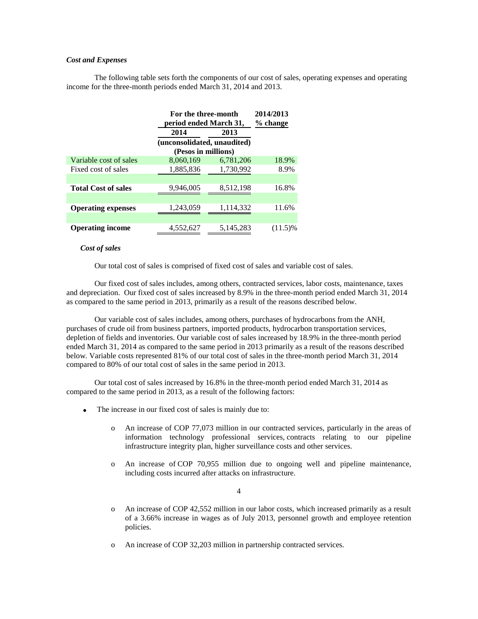# *Cost and Expenses*

The following table sets forth the components of our cost of sales, operating expenses and operating income for the three-month periods ended March 31, 2014 and 2013.

|                            |                                                    | For the three-month<br>period ended March 31, |            |
|----------------------------|----------------------------------------------------|-----------------------------------------------|------------|
|                            | 2014                                               | 2013                                          |            |
|                            | (unconsolidated, unaudited)<br>(Pesos in millions) |                                               |            |
| Variable cost of sales     | 8,060,169                                          | 6,781,206                                     | 18.9%      |
| Fixed cost of sales        | 1,885,836                                          | 1,730,992                                     | 8.9%       |
|                            |                                                    |                                               |            |
| <b>Total Cost of sales</b> | 9,946,005                                          | 8,512,198                                     | 16.8%      |
|                            |                                                    |                                               |            |
| <b>Operating expenses</b>  | 1,243,059                                          | 1,114,332                                     | 11.6%      |
|                            |                                                    |                                               |            |
| <b>Operating income</b>    | 4,552,627                                          | 5,145,283                                     | $(11.5)\%$ |

#### *Cost of sales*

Our total cost of sales is comprised of fixed cost of sales and variable cost of sales.

Our fixed cost of sales includes, among others, contracted services, labor costs, maintenance, taxes and depreciation. Our fixed cost of sales increased by 8.9% in the three-month period ended March 31, 2014 as compared to the same period in 2013, primarily as a result of the reasons described below.

Our variable cost of sales includes, among others, purchases of hydrocarbons from the ANH, purchases of crude oil from business partners, imported products, hydrocarbon transportation services, depletion of fields and inventories. Our variable cost of sales increased by 18.9% in the three-month period ended March 31, 2014 as compared to the same period in 2013 primarily as a result of the reasons described below. Variable costs represented 81% of our total cost of sales in the three-month period March 31, 2014 compared to 80% of our total cost of sales in the same period in 2013.

Our total cost of sales increased by 16.8% in the three-month period ended March 31, 2014 as compared to the same period in 2013, as a result of the following factors:

- The increase in our fixed cost of sales is mainly due to:
	- o An increase of COP 77,073 million in our contracted services, particularly in the areas of information technology professional services, contracts relating to our pipeline infrastructure integrity plan, higher surveillance costs and other services.
	- o An increase of COP 70,955 million due to ongoing well and pipeline maintenance, including costs incurred after attacks on infrastructure.

4

- o An increase of COP 42,552 million in our labor costs, which increased primarily as a result of a 3.66% increase in wages as of July 2013, personnel growth and employee retention policies.
- o An increase of COP 32,203 million in partnership contracted services.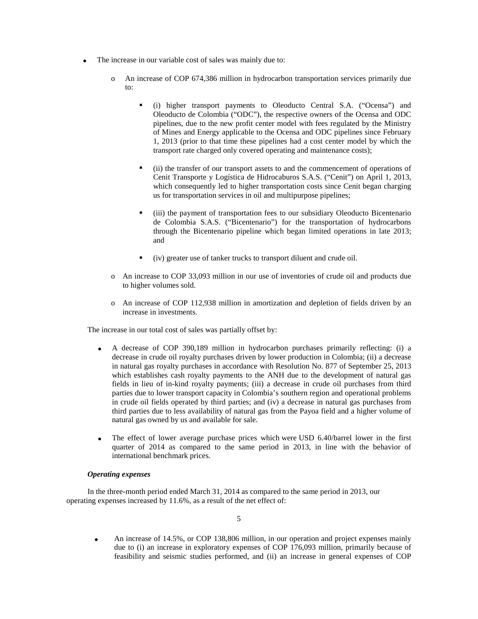- The increase in our variable cost of sales was mainly due to:
	- o An increase of COP 674,386 million in hydrocarbon transportation services primarily due to:
		- (i) higher transport payments to Oleoducto Central S.A. ("Ocensa") and Oleoducto de Colombia ("ODC"), the respective owners of the Ocensa and ODC pipelines, due to the new profit center model with fees regulated by the Ministry of Mines and Energy applicable to the Ocensa and ODC pipelines since February 1, 2013 (prior to that time these pipelines had a cost center model by which the transport rate charged only covered operating and maintenance costs);
		- (ii) the transfer of our transport assets to and the commencement of operations of Cenit Transporte y Logística de Hidrocaburos S.A.S. ("Cenit") on April 1, 2013, which consequently led to higher transportation costs since Cenit began charging us for transportation services in oil and multipurpose pipelines;
		- (iii) the payment of transportation fees to our subsidiary Oleoducto Bicentenario de Colombia S.A.S. ("Bicentenario") for the transportation of hydrocarbons through the Bicentenario pipeline which began limited operations in late 2013; and
		- (iv) greater use of tanker trucks to transport diluent and crude oil.
	- o An increase to COP 33,093 million in our use of inventories of crude oil and products due to higher volumes sold.
	- o An increase of COP 112,938 million in amortization and depletion of fields driven by an increase in investments.

The increase in our total cost of sales was partially offset by:

- A decrease of COP 390,189 million in hydrocarbon purchases primarily reflecting: (i) a decrease in crude oil royalty purchases driven by lower production in Colombia; (ii) a decrease in natural gas royalty purchases in accordance with Resolution No. 877 of September 25, 2013 which establishes cash royalty payments to the ANH due to the development of natural gas fields in lieu of in-kind royalty payments; (iii) a decrease in crude oil purchases from third parties due to lower transport capacity in Colombia's southern region and operational problems in crude oil fields operated by third parties; and (iv) a decrease in natural gas purchases from third parties due to less availability of natural gas from the Payoa field and a higher volume of natural gas owned by us and available for sale.
- The effect of lower average purchase prices which were USD 6.40/barrel lower in the first quarter of 2014 as compared to the same period in 2013, in line with the behavior of international benchmark prices.

## *Operating expenses*

In the three-month period ended March 31, 2014 as compared to the same period in 2013, our operating expenses increased by 11.6%, as a result of the net effect of:

• An increase of 14.5%, or COP 138,806 million, in our operation and project expenses mainly due to (i) an increase in exploratory expenses of COP 176,093 million, primarily because of feasibility and seismic studies performed, and (ii) an increase in general expenses of COP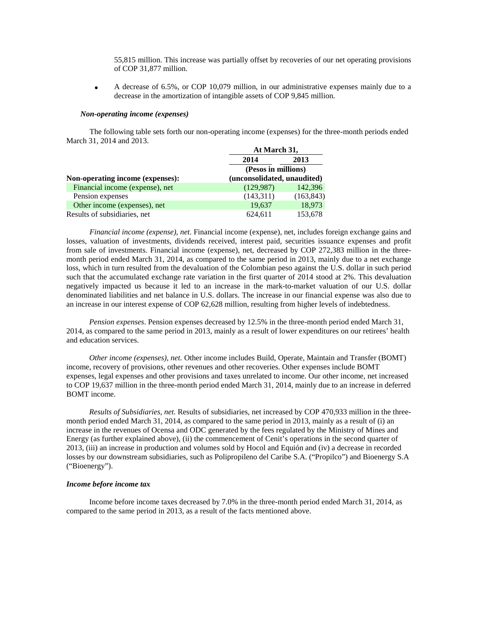55,815 million. This increase was partially offset by recoveries of our net operating provisions of COP 31,877 million.

• A decrease of 6.5%, or COP 10,079 million, in our administrative expenses mainly due to a decrease in the amortization of intangible assets of COP 9,845 million.

#### *Non-operating income (expenses)*

The following table sets forth our non-operating income (expenses) for the three-month periods ended March 31, 2014 and 2013. **At March 31,**

|                                  | At March 31,                |            |
|----------------------------------|-----------------------------|------------|
|                                  | 2014                        | 2013       |
|                                  | (Pesos in millions)         |            |
| Non-operating income (expenses): | (unconsolidated, unaudited) |            |
| Financial income (expense), net  | (129, 987)                  | 142,396    |
| Pension expenses                 | (143,311)                   | (163, 843) |
| Other income (expenses), net     | 19,637                      | 18,973     |
| Results of subsidiaries, net     | 624,611                     | 153,678    |

*Financial income (expense), net*. Financial income (expense), net, includes foreign exchange gains and losses, valuation of investments, dividends received, interest paid, securities issuance expenses and profit from sale of investments. Financial income (expense), net, decreased by COP 272,383 million in the threemonth period ended March 31, 2014, as compared to the same period in 2013, mainly due to a net exchange loss, which in turn resulted from the devaluation of the Colombian peso against the U.S. dollar in such period such that the accumulated exchange rate variation in the first quarter of 2014 stood at 2%. This devaluation negatively impacted us because it led to an increase in the mark-to-market valuation of our U.S. dollar denominated liabilities and net balance in U.S. dollars. The increase in our financial expense was also due to an increase in our interest expense of COP 62,628 million, resulting from higher levels of indebtedness.

*Pension expenses*. Pension expenses decreased by 12.5% in the three-month period ended March 31, 2014, as compared to the same period in 2013, mainly as a result of lower expenditures on our retirees' health and education services.

*Other income (expenses), net.* Other income includes Build, Operate, Maintain and Transfer (BOMT) income, recovery of provisions, other revenues and other recoveries. Other expenses include BOMT expenses, legal expenses and other provisions and taxes unrelated to income. Our other income, net increased to COP 19,637 million in the three-month period ended March 31, 2014, mainly due to an increase in deferred BOMT income.

*Results of Subsidiaries, net.* Results of subsidiaries, net increased by COP 470,933 million in the threemonth period ended March 31, 2014, as compared to the same period in 2013, mainly as a result of (i) an increase in the revenues of Ocensa and ODC generated by the fees regulated by the Ministry of Mines and Energy (as further explained above), (ii) the commencement of Cenit's operations in the second quarter of 2013, (iii) an increase in production and volumes sold by Hocol and Equión and (iv) a decrease in recorded losses by our downstream subsidiaries, such as Polipropileno del Caribe S.A. ("Propilco") and Bioenergy S.A ("Bioenergy").

### *Income before income tax*

Income before income taxes decreased by 7.0% in the three-month period ended March 31, 2014, as compared to the same period in 2013, as a result of the facts mentioned above.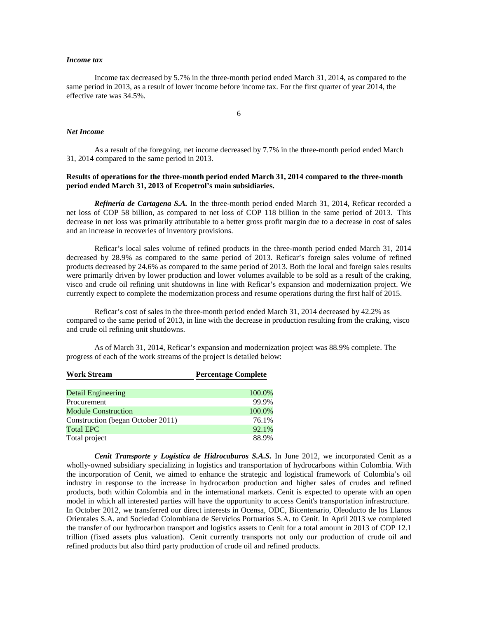## *Income tax*

Income tax decreased by 5.7% in the three-month period ended March 31, 2014, as compared to the same period in 2013, as a result of lower income before income tax. For the first quarter of year 2014, the effective rate was 34.5%.

6

#### *Net Income*

As a result of the foregoing, net income decreased by 7.7% in the three-month period ended March 31, 2014 compared to the same period in 2013.

# **Results of operations for the three-month period ended March 31, 2014 compared to the three-month period ended March 31, 2013 of Ecopetrol's main subsidiaries.**

*Refinería de Cartagena S.A.* In the three-month period ended March 31, 2014, Reficar recorded a net loss of COP 58 billion, as compared to net loss of COP 118 billion in the same period of 2013. This decrease in net loss was primarily attributable to a better gross profit margin due to a decrease in cost of sales and an increase in recoveries of inventory provisions.

Reficar's local sales volume of refined products in the three-month period ended March 31, 2014 decreased by 28.9% as compared to the same period of 2013. Reficar's foreign sales volume of refined products decreased by 24.6% as compared to the same period of 2013. Both the local and foreign sales results were primarily driven by lower production and lower volumes available to be sold as a result of the craking, visco and crude oil refining unit shutdowns in line with Reficar's expansion and modernization project. We currently expect to complete the modernization process and resume operations during the first half of 2015.

Reficar's cost of sales in the three-month period ended March 31, 2014 decreased by 42.2% as compared to the same period of 2013, in line with the decrease in production resulting from the craking, visco and crude oil refining unit shutdowns.

As of March 31, 2014, Reficar's expansion and modernization project was 88.9% complete. The progress of each of the work streams of the project is detailed below:

| <b>Work Stream</b>                | <b>Percentage Complete</b> |  |
|-----------------------------------|----------------------------|--|
|                                   |                            |  |
| <b>Detail Engineering</b>         | 100.0%                     |  |
| Procurement                       | 99.9%                      |  |
| <b>Module Construction</b>        | 100.0%                     |  |
| Construction (began October 2011) | 76.1%                      |  |
| <b>Total EPC</b>                  | 92.1%                      |  |
| Total project                     | 88.9%                      |  |

*Cenit Transporte y Logística de Hidrocaburos S.A.S.* In June 2012, we incorporated Cenit as a wholly-owned subsidiary specializing in logistics and transportation of hydrocarbons within Colombia. With the incorporation of Cenit, we aimed to enhance the strategic and logistical framework of Colombia's oil industry in response to the increase in hydrocarbon production and higher sales of crudes and refined products, both within Colombia and in the international markets. Cenit is expected to operate with an open model in which all interested parties will have the opportunity to access Cenit's transportation infrastructure. In October 2012, we transferred our direct interests in Ocensa, ODC, Bicentenario, Oleoducto de los Llanos Orientales S.A. and Sociedad Colombiana de Servicios Portuarios S.A. to Cenit. In April 2013 we completed the transfer of our hydrocarbon transport and logistics assets to Cenit for a total amount in 2013 of COP 12.1 trillion (fixed assets plus valuation). Cenit currently transports not only our production of crude oil and refined products but also third party production of crude oil and refined products.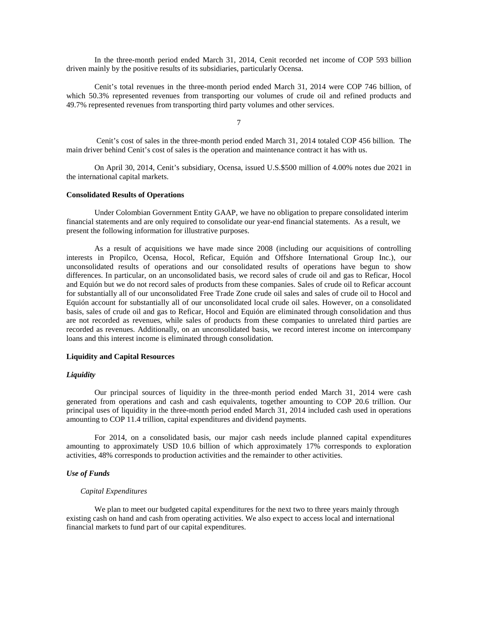In the three-month period ended March 31, 2014, Cenit recorded net income of COP 593 billion driven mainly by the positive results of its subsidiaries, particularly Ocensa.

Cenit's total revenues in the three-month period ended March 31, 2014 were COP 746 billion, of which 50.3% represented revenues from transporting our volumes of crude oil and refined products and 49.7% represented revenues from transporting third party volumes and other services.

7

Cenit's cost of sales in the three-month period ended March 31, 2014 totaled COP 456 billion. The main driver behind Cenit's cost of sales is the operation and maintenance contract it has with us.

On April 30, 2014, Cenit's subsidiary, Ocensa, issued U.S.\$500 million of 4.00% notes due 2021 in the international capital markets.

## **Consolidated Results of Operations**

Under Colombian Government Entity GAAP, we have no obligation to prepare consolidated interim financial statements and are only required to consolidate our year-end financial statements. As a result, we present the following information for illustrative purposes.

As a result of acquisitions we have made since 2008 (including our acquisitions of controlling interests in Propilco, Ocensa, Hocol, Reficar, Equión and Offshore International Group Inc.), our unconsolidated results of operations and our consolidated results of operations have begun to show differences. In particular, on an unconsolidated basis, we record sales of crude oil and gas to Reficar, Hocol and Equión but we do not record sales of products from these companies. Sales of crude oil to Reficar account for substantially all of our unconsolidated Free Trade Zone crude oil sales and sales of crude oil to Hocol and Equión account for substantially all of our unconsolidated local crude oil sales. However, on a consolidated basis, sales of crude oil and gas to Reficar, Hocol and Equión are eliminated through consolidation and thus are not recorded as revenues, while sales of products from these companies to unrelated third parties are recorded as revenues. Additionally, on an unconsolidated basis, we record interest income on intercompany loans and this interest income is eliminated through consolidation.

#### **Liquidity and Capital Resources**

#### *Liquidity*

Our principal sources of liquidity in the three-month period ended March 31, 2014 were cash generated from operations and cash and cash equivalents, together amounting to COP 20.6 trillion. Our principal uses of liquidity in the three-month period ended March 31, 2014 included cash used in operations amounting to COP 11.4 trillion, capital expenditures and dividend payments.

For 2014, on a consolidated basis, our major cash needs include planned capital expenditures amounting to approximately USD 10.6 billion of which approximately 17% corresponds to exploration activities, 48% corresponds to production activities and the remainder to other activities.

# *Use of Funds*

#### *Capital Expenditures*

We plan to meet our budgeted capital expenditures for the next two to three years mainly through existing cash on hand and cash from operating activities. We also expect to access local and international financial markets to fund part of our capital expenditures.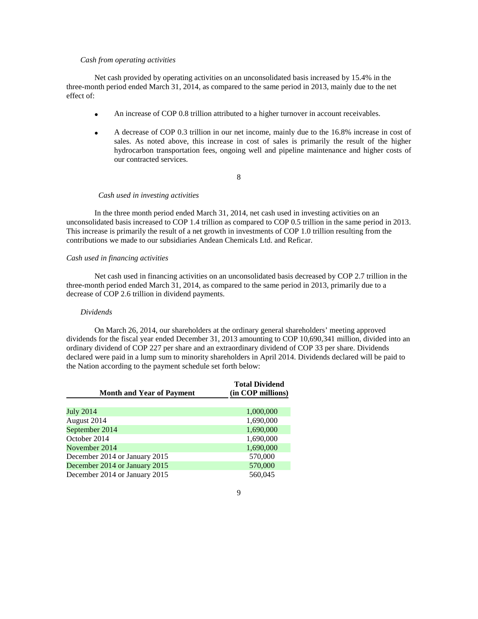## *Cash from operating activities*

Net cash provided by operating activities on an unconsolidated basis increased by 15.4% in the three-month period ended March 31, 2014, as compared to the same period in 2013, mainly due to the net effect of:

- An increase of COP 0.8 trillion attributed to a higher turnover in account receivables.
- A decrease of COP 0.3 trillion in our net income, mainly due to the 16.8% increase in cost of sales. As noted above, this increase in cost of sales is primarily the result of the higher hydrocarbon transportation fees, ongoing well and pipeline maintenance and higher costs of our contracted services.

# 8

#### *Cash used in investing activities*

In the three month period ended March 31, 2014, net cash used in investing activities on an unconsolidated basis increased to COP 1.4 trillion as compared to COP 0.5 trillion in the same period in 2013. This increase is primarily the result of a net growth in investments of COP 1.0 trillion resulting from the contributions we made to our subsidiaries Andean Chemicals Ltd. and Reficar.

## *Cash used in financing activities*

Net cash used in financing activities on an unconsolidated basis decreased by COP 2.7 trillion in the three-month period ended March 31, 2014, as compared to the same period in 2013, primarily due to a decrease of COP 2.6 trillion in dividend payments.

#### *Dividends*

On March 26, 2014, our shareholders at the ordinary general shareholders' meeting approved dividends for the fiscal year ended December 31, 2013 amounting to COP 10,690,341 million, divided into an ordinary dividend of COP 227 per share and an extraordinary dividend of COP 33 per share. Dividends declared were paid in a lump sum to minority shareholders in April 2014. Dividends declared will be paid to the Nation according to the payment schedule set forth below:

| <b>Month and Year of Payment</b> | <b>Total Dividend</b><br>(in COP millions) |  |
|----------------------------------|--------------------------------------------|--|
|                                  |                                            |  |
| <b>July 2014</b>                 | 1,000,000                                  |  |
| August 2014                      | 1,690,000                                  |  |
| September 2014                   | 1,690,000                                  |  |
| October 2014                     | 1,690,000                                  |  |
| November 2014                    | 1,690,000                                  |  |
| December 2014 or January 2015    | 570,000                                    |  |
| December 2014 or January 2015    | 570,000                                    |  |
| December 2014 or January 2015    | 560,045                                    |  |